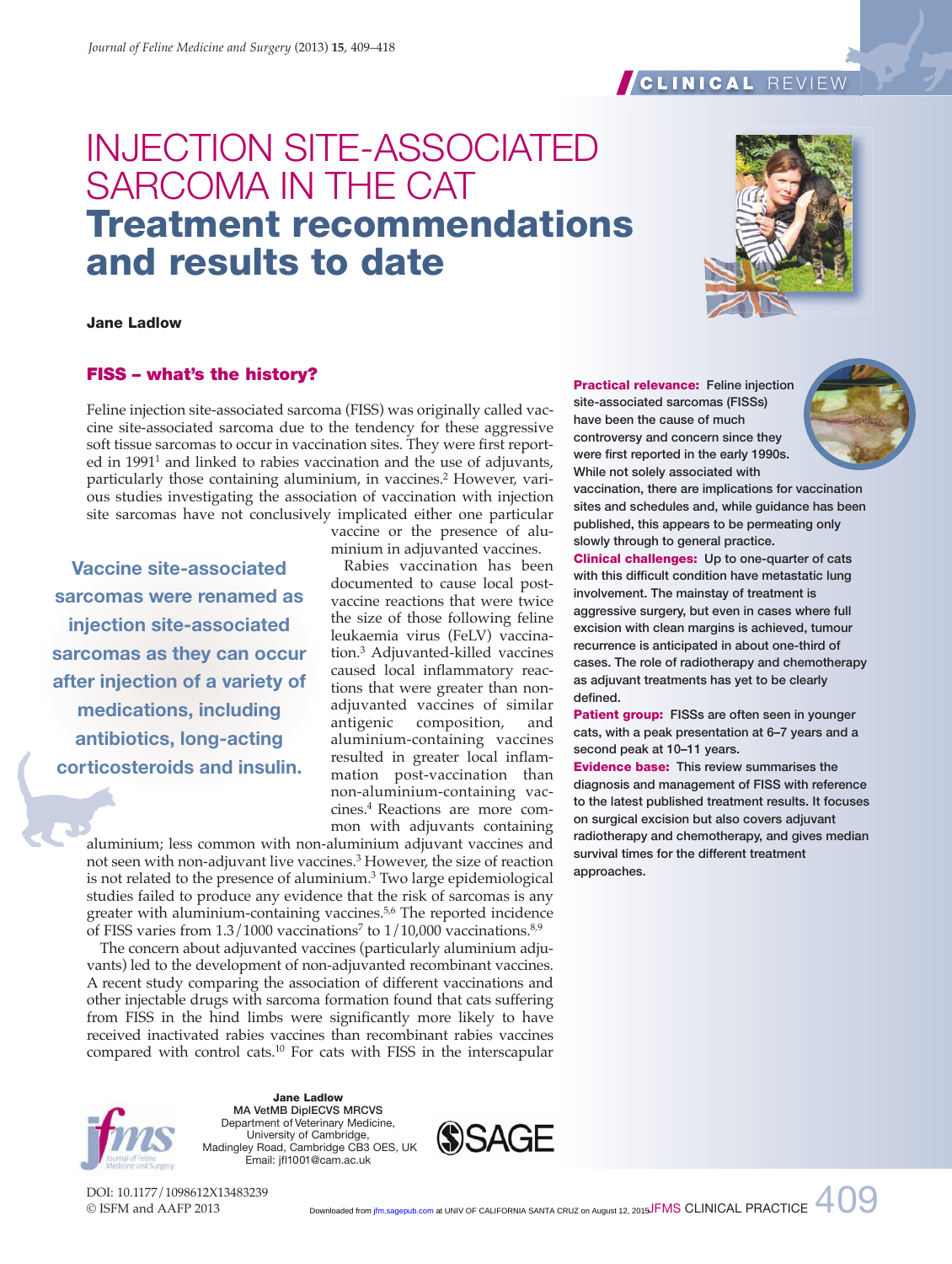# INJECTION SITE-ASSOCIATED SARCOMA IN THE CAT **Treatment recommendations and results to date**

**Jane Ladlow**

# **FISS – what's the history?**

Feline injection site-associated sarcoma (FISS) was originally called vaccine site-associated sarcoma due to the tendency for these aggressive soft tissue sarcomas to occur in vaccination sites. They were first reported in  $1991<sup>1</sup>$  and linked to rabies vaccination and the use of adjuvants, particularly those containing aluminium, in vaccines.2 However, various studies investigating the association of vaccination with injection site sarcomas have not conclusively implicated either one particular

**Vaccine site-associated sarcomas were renamed as injection site-associated sarcomas as they can occur after injection of a variety of medications, including antibiotics, long-acting corticosteroids and insulin.**

vaccine or the presence of aluminium in adjuvanted vaccines.

Rabies vaccination has been documented to cause local postvaccine reactions that were twice the size of those following feline leukaemia virus (FeLV) vaccination.3 Adjuvanted-killed vaccines caused local inflammatory reactions that were greater than nonadjuvanted vaccines of similar antigenic composition, and aluminium-containing vaccines resulted in greater local inflammation post-vaccination than non-aluminium-containing vaccines.4 Reactions are more common with adjuvants containing

aluminium; less common with non-aluminium adjuvant vaccines and not seen with non-adjuvant live vaccines.3 However, the size of reaction is not related to the presence of aluminium.3 Two large epidemiological studies failed to produce any evidence that the risk of sarcomas is any greater with aluminium-containing vaccines.5,6 The reported incidence of FISS varies from  $1.3/1000$  vaccinations<sup>7</sup> to  $1/10,000$  vaccinations.<sup>8,9</sup>

The concern about adjuvanted vaccines (particularly aluminium adjuvants) led to the development of non-adjuvanted recombinant vaccines. A recent study comparing the association of different vaccinations and other injectable drugs with sarcoma formation found that cats suffering from FISS in the hind limbs were significantly more likely to have received inactivated rabies vaccines than recombinant rabies vaccines compared with control cats.10 For cats with FISS in the interscapular

> **Jane Ladlow MA VetMB DiplECVS MRCVS** Department of Veterinary Medicine, University of Cambridge, Madingley Road, Cambridge CB3 OES, UK Email: jfl1001@cam.ac.uk

**SSAGE** 

DOI: 10.1177/1098612X13483239 © ISFM and AAFP 2013

Downloaded from [jfm.sagepub.com](http://jfm.sagepub.com/) at UNIV OF CALIFORNIA SANTA CRUZ on August 12, 2015JFMS CLINICAL PRACTICE  $\begin{array}{c} 409 \ \text{GeV} \end{array}$ 



**vaccination, there are implications for vaccination sites and schedules and, while guidance has been published, this appears to be permeating only slowly through to general practice.**

**Clinical challenges: Up to one-quarter of cats with this difficult condition have metastatic lung involvement. The mainstay of treatment is aggressive surgery, but even in cases where full excision with clean margins is achieved, tumour recurrence is anticipated in about one-third of cases. The role of radiotherapy and chemotherapy as adjuvant treatments has yet to be clearly defined.**

**Patient group: FISSs are often seen in younger cats, with a peak presentation at 6–7 years and a second peak at 10–11 years.**

**Evidence base: This review summarises the diagnosis and management of FISS with reference to the latest published treatment results. It focuses on surgical excision but also covers adjuvant radiotherapy and chemotherapy, and gives median survival times for the different treatment approaches.**



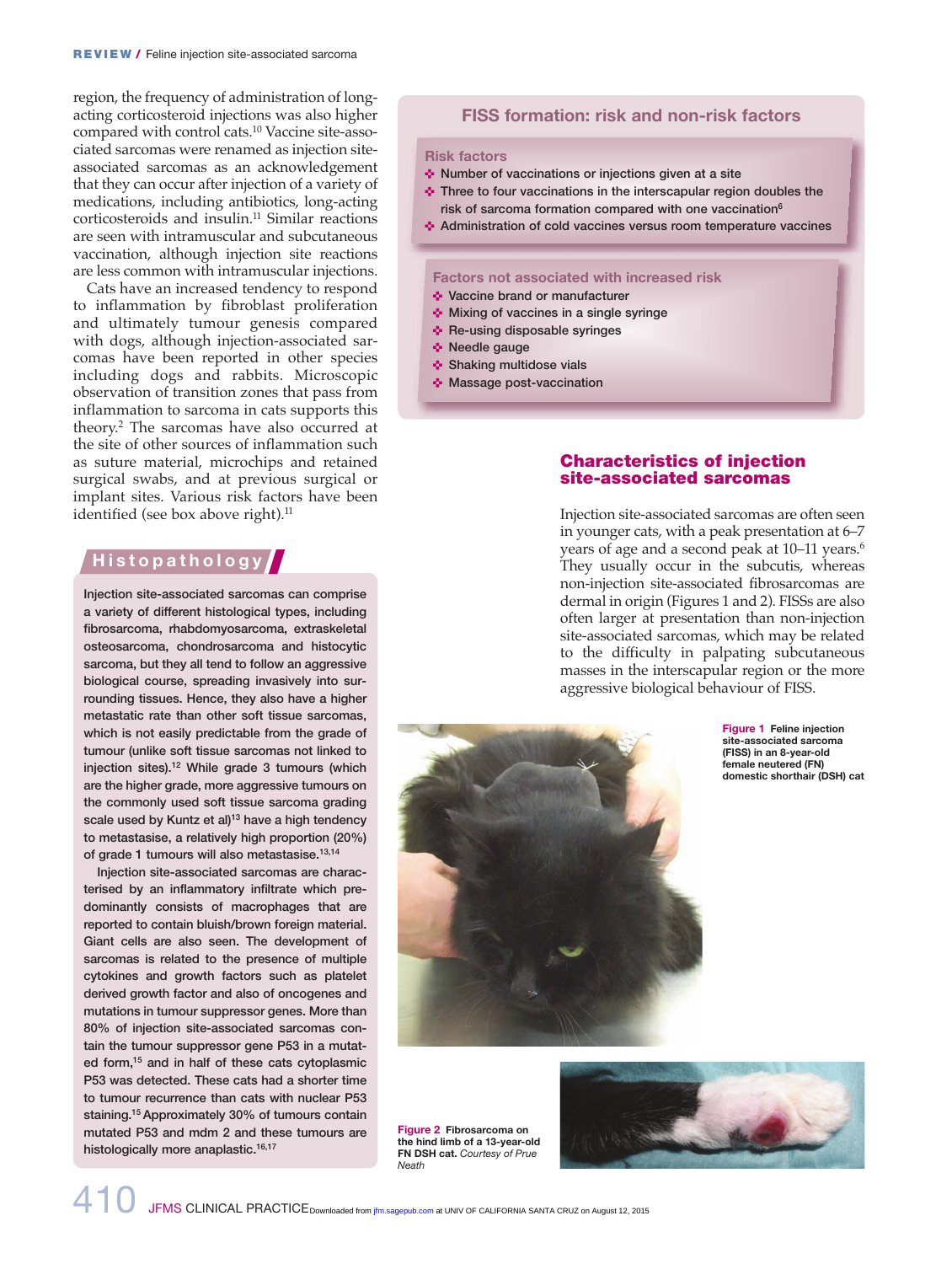region, the frequency of administration of longacting corticosteroid injections was also higher compared with control cats.10 Vaccine site-associated sarcomas were renamed as injection siteassociated sarcomas as an acknowledgement that they can occur after injection of a variety of medications, including antibiotics, long-acting corticosteroids and insulin.11 Similar reactions are seen with intramuscular and subcutaneous vaccination, although injection site reactions are less common with intramuscular injections.

Cats have an increased tendency to respond to inflammation by fibroblast proliferation and ultimately tumour genesis compared with dogs, although injection-associated sarcomas have been reported in other species including dogs and rabbits. Microscopic observation of transition zones that pass from inflammation to sarcoma in cats supports this theory.2 The sarcomas have also occurred at the site of other sources of inflammation such as suture material, microchips and retained surgical swabs, and at previous surgical or implant sites. Various risk factors have been identified (see box above right).<sup>11</sup>

# **H i s t o p a t h o l o g y**

**Injection site-associated sarcomas can comprise a variety of different histological types, including fibrosarcoma, rhabdomyosarcoma, extraskeletal osteosarcoma, chondrosarcoma and histocytic sarcoma, but they all tend to follow an aggressive biological course, spreading invasively into surrounding tissues. Hence, they also have a higher metastatic rate than other soft tissue sarcomas, which is not easily predictable from the grade of tumour (unlike soft tissue sarcomas not linked to injection sites).12 While grade 3 tumours (which are the higher grade, more aggressive tumours on the commonly used soft tissue sarcoma grading scale used by Kuntz et al)13 have a high tendency to metastasise, a relatively high proportion (20%) of grade 1 tumours will also metastasise.13,14**

**Injection site-associated sarcomas are characterised by an inflammatory infiltrate which predominantly consists of macrophages that are reported to contain bluish/brown foreign material. Giant cells are also seen. The development of sarcomas is related to the presence of multiple cytokines and growth factors such as platelet derived growth factor and also of oncogenes and mutations in tumour suppressor genes. More than 80% of injection site-associated sarcomas contain the tumour suppressor gene P53 in a mutated form,15 and in half of these cats cytoplasmic P53 was detected. These cats had a shorter time to tumour recurrence than cats with nuclear P53 staining.15 Approximately 30% of tumours contain mutated P53 and mdm 2 and these tumours are histologically more anaplastic.16,17**

#### **FISS formation: risk and non-risk factors**

#### **Risk factors**

- $\triangle$  Number of vaccinations or injections given at a site
- $\triangle$  Three to four vaccinations in the interscapular region doubles the **risk of sarcoma formation compared with one vaccination6**
- < **Administration of cold vaccines versus room temperature vaccines**

#### **Factors not associated with increased risk**

- **Vaccine brand or manufacturer**
- $\cdot$  **Mixing of vaccines in a single syringe**
- **+** Re-using disposable syringes
- **\*** Needle gauge
- **Shaking multidose vials**
- **Massage post-vaccination**

### **Characteristics of injection site-associated sarcomas**

Injection site-associated sarcomas are often seen in younger cats, with a peak presentation at 6–7 years of age and a second peak at 10–11 years.<sup>6</sup> They usually occur in the subcutis, whereas non-injection site-associated fibrosarcomas are dermal in origin (Figures 1 and 2). FISSs are also often larger at presentation than non-injection site-associated sarcomas, which may be related to the difficulty in palpating subcutaneous masses in the interscapular region or the more aggressive biological behaviour of FISS.

> **Figure 1 Feline injection site-associated sarcoma (FISS) in an 8-year-old female neutered (FN) domestic shorthair (DSH) cat**





**Figure 2 Fibrosarcoma on the hind limb of a 13-year-old FN DSH cat.** *Courtesy of Prue Neath*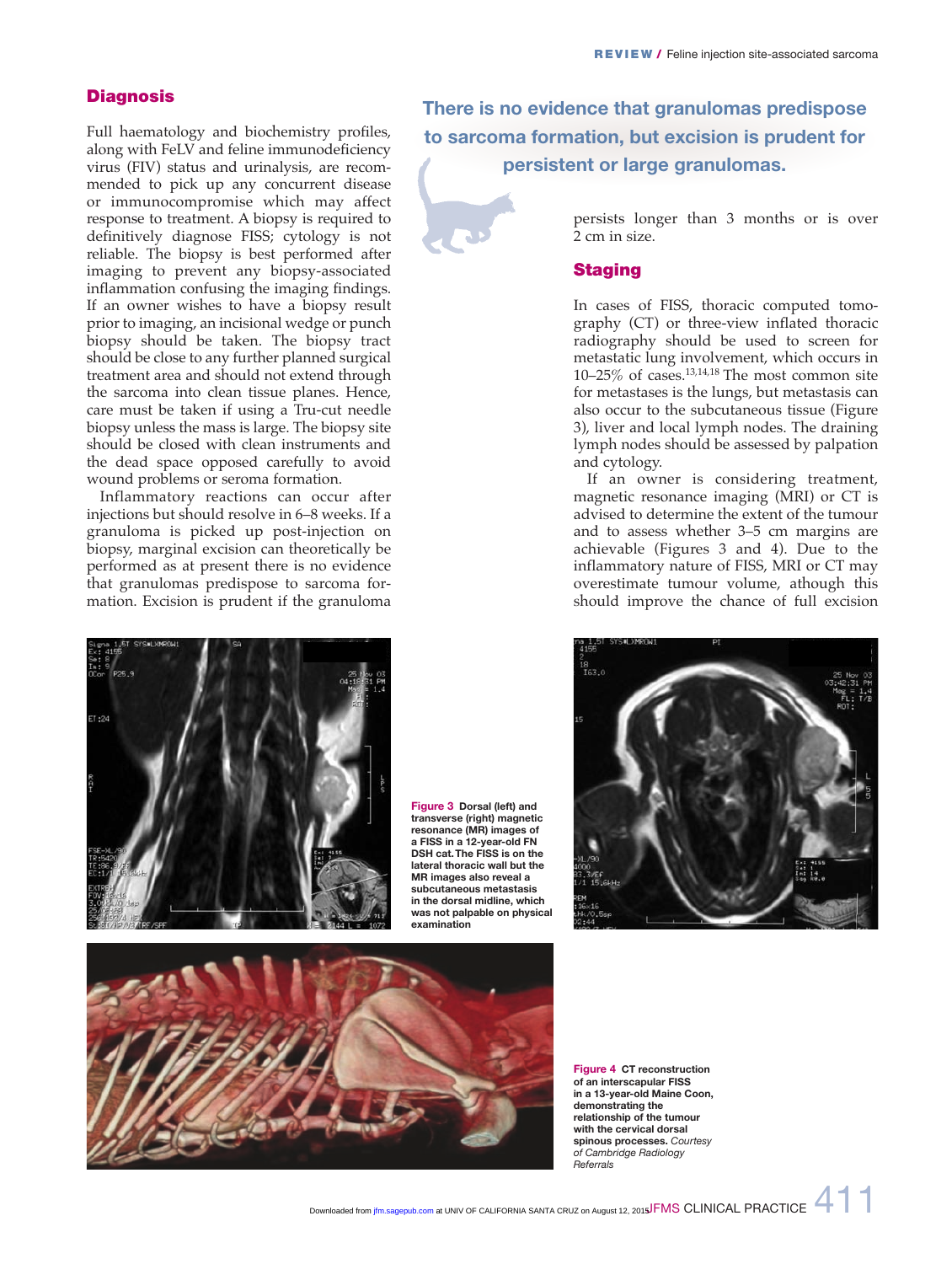### **Diagnosis**

Full haematology and biochemistry profiles, along with FeLV and feline immunodeficiency virus (FIV) status and urinalysis, are recommended to pick up any concurrent disease or immunocompromise which may affect response to treatment. A biopsy is required to definitively diagnose FISS; cytology is not reliable. The biopsy is best performed after imaging to prevent any biopsy-associated inflammation confusing the imaging findings. If an owner wishes to have a biopsy result prior to imaging, an incisional wedge or punch biopsy should be taken. The biopsy tract should be close to any further planned surgical treatment area and should not extend through the sarcoma into clean tissue planes. Hence, care must be taken if using a Tru-cut needle biopsy unless the mass is large. The biopsy site should be closed with clean instruments and the dead space opposed carefully to avoid wound problems or seroma formation.

Inflammatory reactions can occur after injections but should resolve in 6–8 weeks. If a granuloma is picked up post-injection on biopsy, marginal excision can theoretically be performed as at present there is no evidence that granulomas predispose to sarcoma formation. Excision is prudent if the granuloma



**Figure 3 Dorsal (left) and transverse (right) magnetic resonance (MR) images of a FISS in a 12-year-old FN DSH cat. The FISS is on the lateral thoracic wall but the MR images also reveal a subcutaneous metastasis in the dorsal midline, which was not palpable on physical examination**

**There is no evidence that granulomas predispose to sarcoma formation, but excision is prudent for persistent or large granulomas.**



persists longer than 3 months or is over 2 cm in size.

#### **Staging**

In cases of FISS, thoracic computed tomography (CT) or three-view inflated thoracic radiography should be used to screen for metastatic lung involvement, which occurs in 10–25% of cases. $13,14,18$  The most common site for metastases is the lungs, but metastasis can also occur to the subcutaneous tissue (Figure 3), liver and local lymph nodes. The draining lymph nodes should be assessed by palpation and cytology.

If an owner is considering treatment, magnetic resonance imaging (MRI) or CT is advised to determine the extent of the tumour and to assess whether 3–5 cm margins are achievable (Figures 3 and 4). Due to the inflammatory nature of FISS, MRI or CT may overestimate tumour volume, athough this should improve the chance of full excision





**Figure 4 CT reconstruction of an interscapular FISS in a 13-year-old Maine Coon, demonstrating the relationship of the tumour with the cervical dorsal spinous processes.** *Courtesy of Cambridge Radiology Referrals*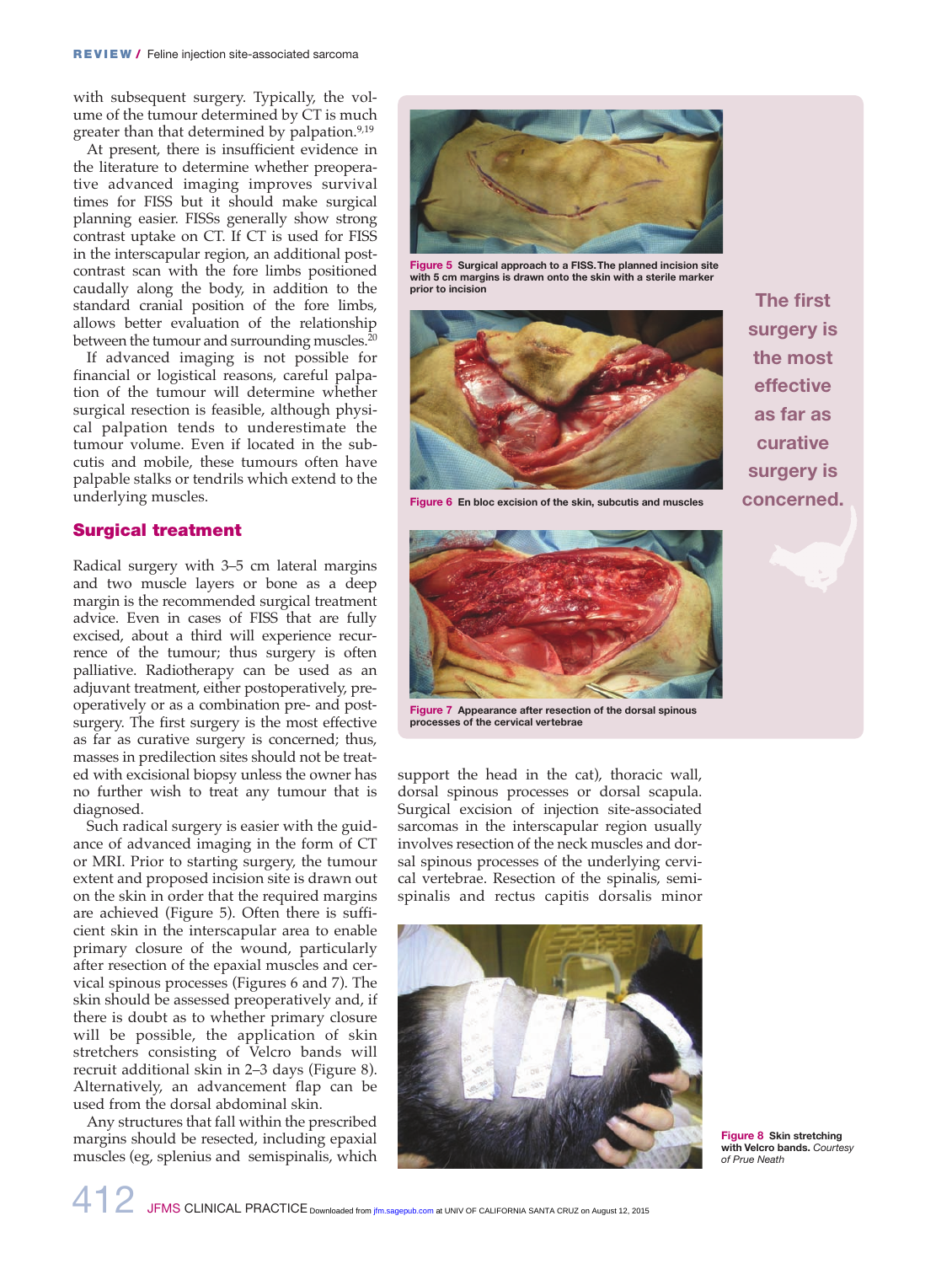with subsequent surgery. Typically, the volume of the tumour determined by CT is much greater than that determined by palpation.<sup>9,19</sup>

At present, there is insufficient evidence in the literature to determine whether preoperative advanced imaging improves survival times for FISS but it should make surgical planning easier. FISSs generally show strong contrast uptake on CT. If CT is used for FISS in the interscapular region, an additional postcontrast scan with the fore limbs positioned caudally along the body, in addition to the standard cranial position of the fore limbs, allows better evaluation of the relationship between the tumour and surrounding muscles.<sup>20</sup>

If advanced imaging is not possible for financial or logistical reasons, careful palpation of the tumour will determine whether surgical resection is feasible, although physical palpation tends to underestimate the tumour volume. Even if located in the subcutis and mobile, these tumours often have palpable stalks or tendrils which extend to the underlying muscles.

#### **Surgical treatment**

Radical surgery with 3–5 cm lateral margins and two muscle layers or bone as a deep margin is the recommended surgical treatment advice. Even in cases of FISS that are fully excised, about a third will experience recurrence of the tumour; thus surgery is often palliative. Radiotherapy can be used as an adjuvant treatment, either postoperatively, preoperatively or as a combination pre- and postsurgery. The first surgery is the most effective as far as curative surgery is concerned; thus, masses in predilection sites should not be treated with excisional biopsy unless the owner has no further wish to treat any tumour that is diagnosed.

Such radical surgery is easier with the guidance of advanced imaging in the form of CT or MRI. Prior to starting surgery, the tumour extent and proposed incision site is drawn out on the skin in order that the required margins are achieved (Figure 5). Often there is sufficient skin in the interscapular area to enable primary closure of the wound, particularly after resection of the epaxial muscles and cervical spinous processes (Figures 6 and 7). The skin should be assessed preoperatively and, if there is doubt as to whether primary closure will be possible, the application of skin stretchers consisting of Velcro bands will recruit additional skin in 2–3 days (Figure 8). Alternatively, an advancement flap can be used from the dorsal abdominal skin.

Any structures that fall within the prescribed margins should be resected, including epaxial muscles (eg, splenius and semispinalis, which



**Figure 5 Surgical approach to a FISS. The planned incision site with 5 cm margins is drawn onto the skin with a sterile marker prior to incision**



**Figure 6 En bloc excision of the skin, subcutis and muscles**



**Figure 7 Appearance after resection of the dorsal spinous processes of the cervical vertebrae**

support the head in the cat), thoracic wall, dorsal spinous processes or dorsal scapula. Surgical excision of injection site-associated sarcomas in the interscapular region usually involves resection of the neck muscles and dorsal spinous processes of the underlying cervical vertebrae. Resection of the spinalis, semispinalis and rectus capitis dorsalis minor



**The first surgery is the most effective as far as curative surgery is concerned.**



**Figure 8 Skin stretching with Velcro bands.** *Courtesy of Prue Neath*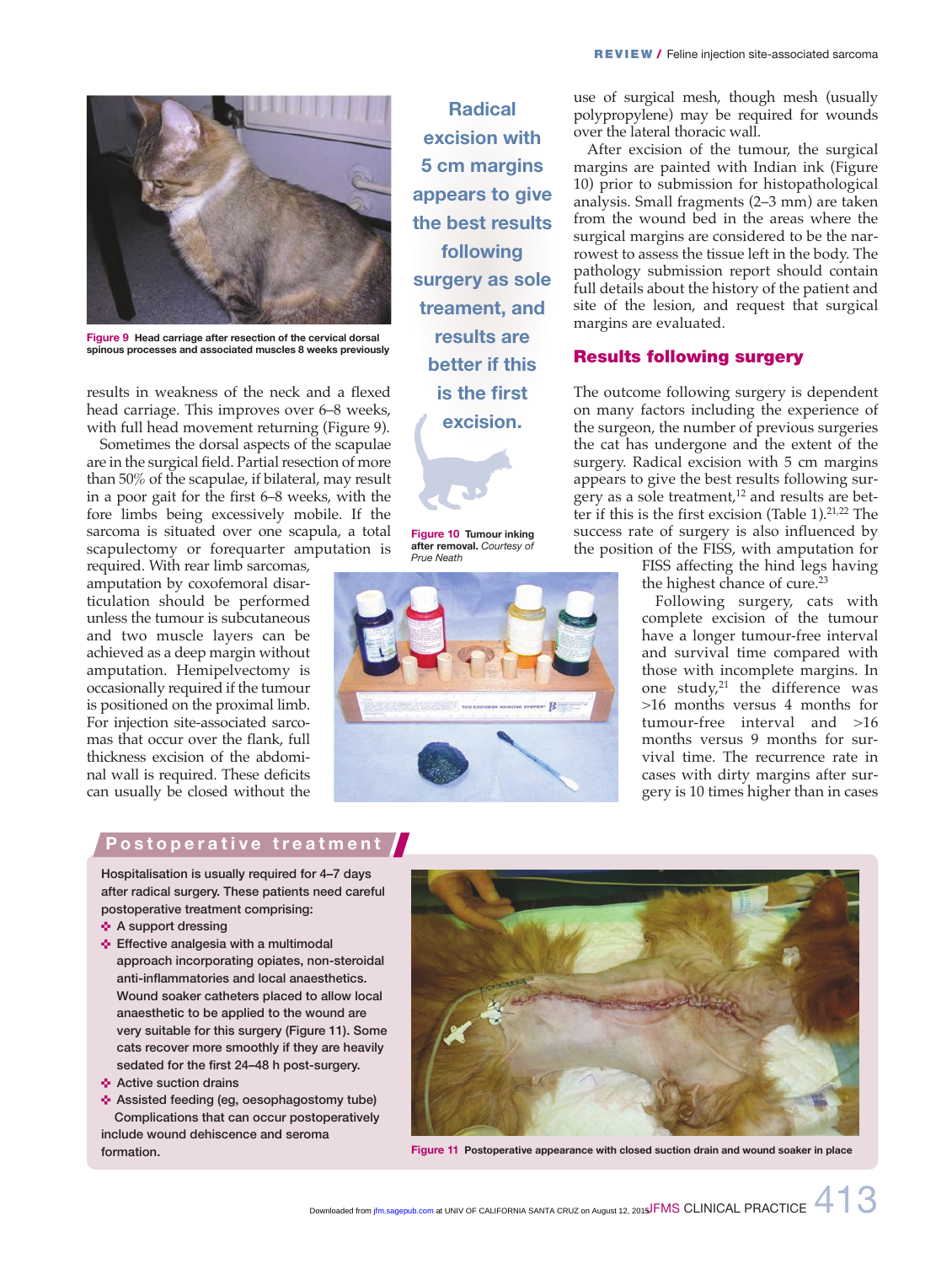

**Figure 9 Head carriage after resection of the cervical dorsal spinous processes and associated muscles 8 weeks previously**

results in weakness of the neck and a flexed head carriage. This improves over 6–8 weeks, with full head movement returning (Figure 9).

Sometimes the dorsal aspects of the scapulae are in the surgical field. Partial resection of more than 50% of the scapulae, if bilateral, may result in a poor gait for the first 6–8 weeks, with the fore limbs being excessively mobile. If the sarcoma is situated over one scapula, a total scapulectomy or forequarter amputation is

required. With rear limb sarcomas, amputation by coxofemoral disarticulation should be performed unless the tumour is subcutaneous and two muscle layers can be achieved as a deep margin without amputation. Hemipelvectomy is occasionally required if the tumour is positioned on the proximal limb. For injection site-associated sarcomas that occur over the flank, full thickness excision of the abdominal wall is required. These deficits can usually be closed without the

**Radical excision with 5 cm margins appears to give the best results following surgery as sole treament, and results are better if this is the first excision.**

**Figure 10 Tumour inking after removal.** *Courtesy of Prue Neath*



use of surgical mesh, though mesh (usually polypropylene) may be required for wounds over the lateral thoracic wall.

After excision of the tumour, the surgical margins are painted with Indian ink (Figure 10) prior to submission for histopathological analysis. Small fragments (2–3 mm) are taken from the wound bed in the areas where the surgical margins are considered to be the narrowest to assess the tissue left in the body. The pathology submission report should contain full details about the history of the patient and site of the lesion, and request that surgical margins are evaluated.

## **Results following surgery**

The outcome following surgery is dependent on many factors including the experience of the surgeon, the number of previous surgeries the cat has undergone and the extent of the surgery. Radical excision with 5 cm margins appears to give the best results following surgery as a sole treatment,<sup>12</sup> and results are better if this is the first excision (Table  $1$ ).<sup>21,22</sup> The success rate of surgery is also influenced by the position of the FISS, with amputation for

FISS affecting the hind legs having the highest chance of cure.<sup>23</sup>

Following surgery, cats with complete excision of the tumour have a longer tumour-free interval and survival time compared with those with incomplete margins. In one study,21 the difference was >16 months versus 4 months for tumour-free interval and >16 months versus 9 months for survival time. The recurrence rate in cases with dirty margins after surgery is 10 times higher than in cases

#### **Postoperative treatment**

**Hospitalisation is usually required for 4–7 days after radical surgery. These patients need careful postoperative treatment comprising:**

- **A** support dressing
- **Effective analgesia with a multimodal approach incorporating opiates, non-steroidal anti-inflammatories and local anaesthetics. Wound soaker catheters placed to allow local anaesthetic to be applied to the wound are very suitable for this surgery (Figure 11). Some cats recover more smoothly if they are heavily sedated for the first 24–48 h post-surgery.**
- **Active suction drains**
- < **Assisted feeding (eg, oesophagostomy tube) Complications that can occur postoperatively include wound dehiscence and seroma formation.**



**Figure 11 Postoperative appearance with closed suction drain and wound soaker in place**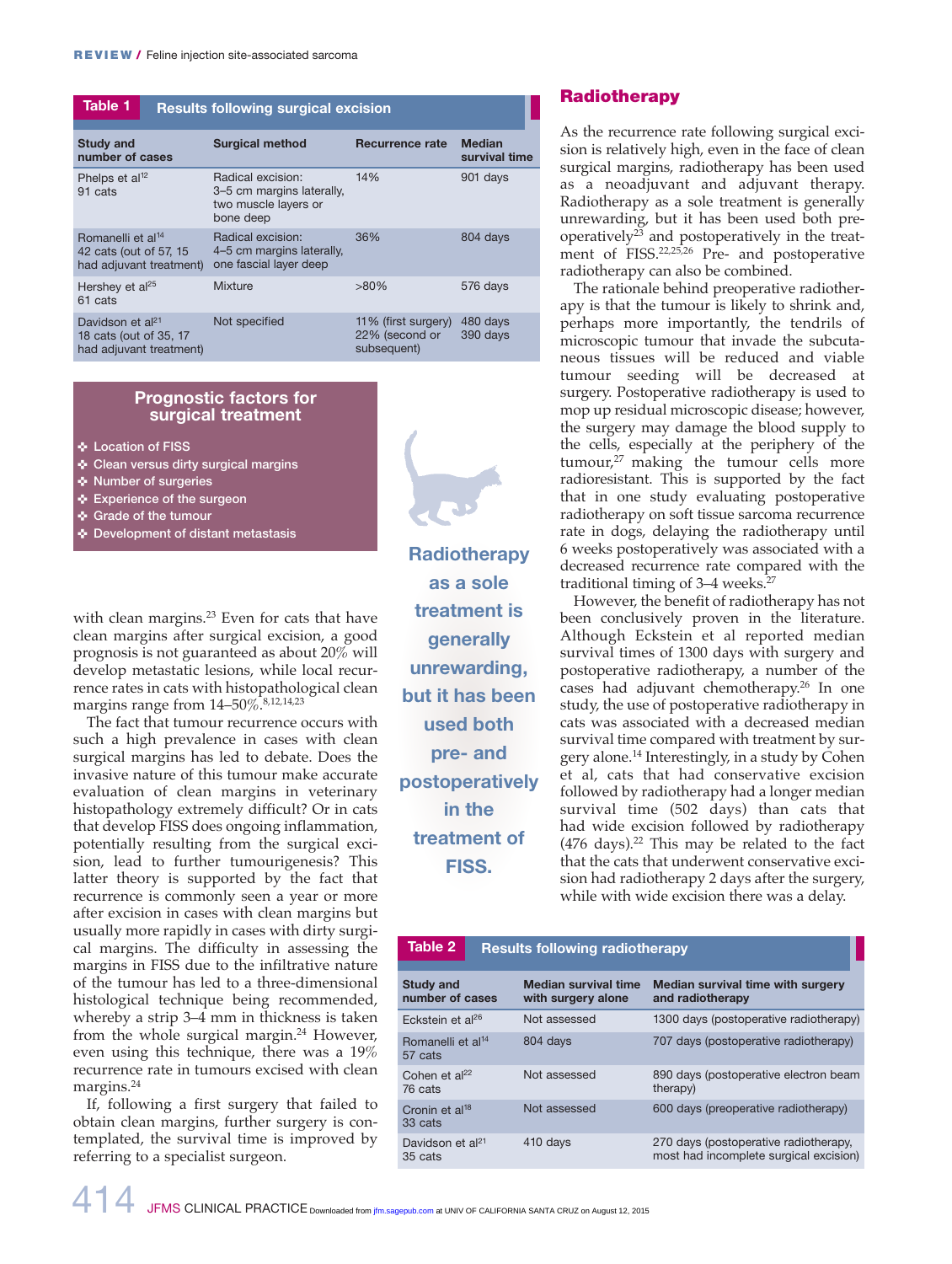| Table 1<br><b>Results following surgical excision</b>                               |  |                                                                                     |                                                      |                                |
|-------------------------------------------------------------------------------------|--|-------------------------------------------------------------------------------------|------------------------------------------------------|--------------------------------|
| <b>Study and</b><br>number of cases                                                 |  | <b>Surgical method</b>                                                              | Recurrence rate                                      | <b>Median</b><br>survival time |
| Phelps et al <sup>12</sup><br>91 cats                                               |  | Radical excision:<br>3-5 cm margins laterally,<br>two muscle layers or<br>bone deep | 14%                                                  | 901 days                       |
| Romanelli et al <sup>14</sup><br>42 cats (out of 57, 15)<br>had adjuvant treatment) |  | Radical excision:<br>4–5 cm margins laterally,<br>one fascial layer deep            | 36%                                                  | 804 days                       |
| Hershey et al <sup>25</sup><br>61 cats                                              |  | Mixture                                                                             | $>80\%$                                              | 576 days                       |
| Davidson et al <sup>21</sup><br>18 cats (out of 35, 17<br>had adjuvant treatment)   |  | Not specified                                                                       | 11% (first surgery)<br>22% (second or<br>subsequent) | 480 days<br>390 days           |

#### **Prognostic factors for surgical treatment**

< **Location of FISS**

- < **Clean versus dirty surgical margins**
- < **Number of surgeries**
- < **Experience of the surgeon**
- < **Grade of the tumour**
- < **Development of distant metastasis**

with clean margins.<sup>23</sup> Even for cats that have clean margins after surgical excision, a good prognosis is not guaranteed as about 20% will develop metastatic lesions, while local recurrence rates in cats with histopathological clean margins range from  $14-50\%$ . 8,12,14,23

The fact that tumour recurrence occurs with such a high prevalence in cases with clean surgical margins has led to debate. Does the invasive nature of this tumour make accurate evaluation of clean margins in veterinary histopathology extremely difficult? Or in cats that develop FISS does ongoing inflammation, potentially resulting from the surgical excision, lead to further tumourigenesis? This latter theory is supported by the fact that recurrence is commonly seen a year or more after excision in cases with clean margins but usually more rapidly in cases with dirty surgical margins. The difficulty in assessing the margins in FISS due to the infiltrative nature of the tumour has led to a three-dimensional histological technique being recommended, whereby a strip 3–4 mm in thickness is taken from the whole surgical margin.<sup>24</sup> However, even using this technique, there was a 19% recurrence rate in tumours excised with clean margins.<sup>24</sup>

If, following a first surgery that failed to obtain clean margins, further surgery is contemplated, the survival time is improved by referring to a specialist surgeon.



**Radiotherapy as a sole treatment is generally unrewarding, but it has been used both pre- and postoperatively in the treatment of FISS.**

#### **Radiotherapy**

As the recurrence rate following surgical excision is relatively high, even in the face of clean surgical margins, radiotherapy has been used as a neoadjuvant and adjuvant therapy. Radio therapy as a sole treatment is generally unrewarding, but it has been used both preoperatively $2^3$  and postoperatively in the treatment of FISS.<sup>22,25,26</sup> Pre- and postoperative radiotherapy can also be combined.

The rationale behind preoperative radiotherapy is that the tumour is likely to shrink and, perhaps more importantly, the tendrils of microscopic tumour that invade the subcutaneous tissues will be reduced and viable tumour seeding will be decreased at surgery. Postoperative radiotherapy is used to mop up residual microscopic disease; however, the surgery may damage the blood supply to the cells, especially at the periphery of the  $t$ umour, $27$  making the tumour cells more radioresistant. This is supported by the fact that in one study evaluating postoperative radiotherapy on soft tissue sarcoma recurrence rate in dogs, delaying the radiotherapy until 6 weeks postoperatively was associated with a decreased recurrence rate compared with the traditional timing of  $3-4$  weeks.<sup>27</sup>

However, the benefit of radiotherapy has not been conclusively proven in the literature. Although Eckstein et al reported median survival times of 1300 days with surgery and postoperative radiotherapy, a number of the cases had adjuvant chemotherapy.26 In one study, the use of postoperative radiotherapy in cats was associated with a decreased median survival time compared with treatment by surgery alone.14 Interestingly, in a study by Cohen et al, cats that had conservative excision followed by radiotherapy had a longer median survival time (502 days) than cats that had wide excision followed by radiotherapy  $(476 \text{ days})$ .<sup>22</sup> This may be related to the fact that the cats that underwent conservative excision had radiotherapy 2 days after the surgery, while with wide excision there was a delay.

#### **Study and number of cases Median survival time with surgery alone Median survival time with surgery and radiotherapy** Eckstein et al<sup>26</sup> Not assessed 1300 days (postoperative radiotherapy) Romanelli et al<sup>14</sup> 57 cats 804 days 707 days (postoperative radiotherapy) Cohen et  $al<sup>22</sup>$ 76 cats Not assessed 890 days (postoperative electron beam therapy) Cronin et al<sup>18</sup> 33 cats Not assessed 600 days (preoperative radiotherapy) Davidson et al<sup>21</sup> 35 cats 410 days 270 days (postoperative radiotherapy, most had incomplete surgical excision) **Table 2 Results following radiotherapy**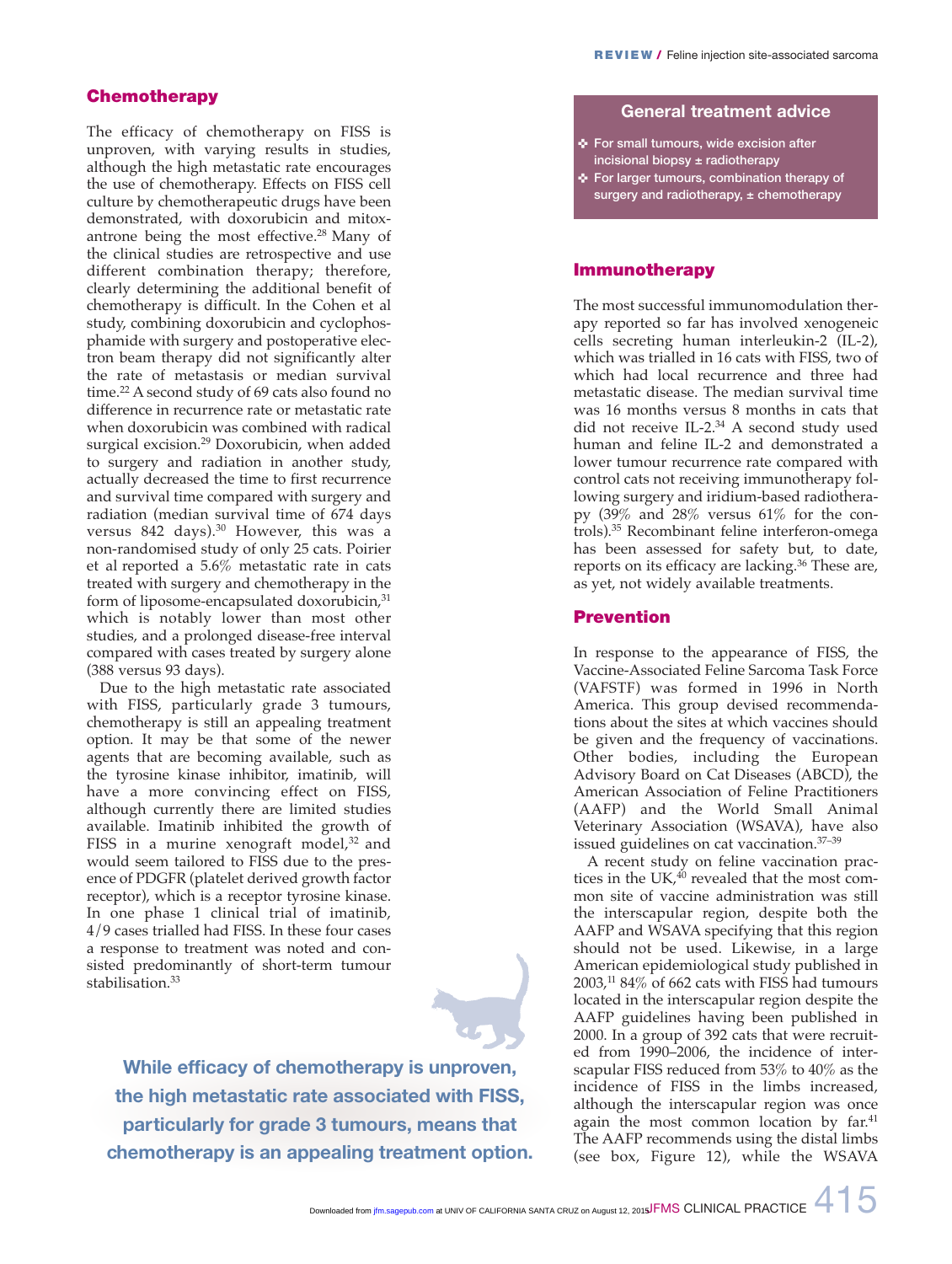#### **Chemotherapy**

The efficacy of chemotherapy on FISS is unproven, with varying results in studies, although the high metastatic rate encourages the use of chemotherapy. Effects on FISS cell culture by chemotherapeutic drugs have been demonstrated, with doxorubicin and mitoxantrone being the most effective.28 Many of the clinical studies are retrospective and use different combination therapy; therefore, clearly determining the additional benefit of chemotherapy is difficult. In the Cohen et al study, combining doxorubicin and cyclophosphamide with surgery and postoperative electron beam therapy did not significantly alter the rate of metastasis or median survival time.<sup>22</sup> A second study of 69 cats also found no difference in recurrence rate or metastatic rate when doxorubicin was combined with radical surgical excision.29 Doxorubicin, when added to surgery and radiation in another study, actually decreased the time to first recurrence and survival time compared with surgery and radiation (median survival time of 674 days versus 842 days).<sup>30</sup> However, this was a non-randomised study of only 25 cats. Poirier et al reported a 5.6% metastatic rate in cats treated with surgery and chemotherapy in the form of liposome-encapsulated doxorubicin,<sup>31</sup> which is notably lower than most other studies, and a prolonged disease-free interval compared with cases treated by surgery alone (388 versus 93 days).

Due to the high metastatic rate associated with FISS, particularly grade 3 tumours, chemotherapy is still an appealing treatment option. It may be that some of the newer agents that are becoming available, such as the tyrosine kinase inhibitor, imatinib, will have a more convincing effect on FISS, although currently there are limited studies available. Imatinib inhibited the growth of FISS in a murine xenograft model,<sup>32</sup> and would seem tailored to FISS due to the presence of PDGFR (platelet derived growth factor receptor), which is a receptor tyrosine kinase. In one phase 1 clinical trial of imatinib, 4/9 cases trialled had FISS. In these four cases a response to treatment was noted and consisted predominantly of short-term tumour stabilisation.<sup>33</sup>



**While efficacy of chemotherapy is unproven, the high metastatic rate associated with FISS, particularly for grade 3 tumours, means that chemotherapy is an appealing treatment option.**

#### **General treatment advice**

- < **For small tumours, wide excision after incisional biopsy ± radiotherapy**
- < **For larger tumours, combination therapy of surgery and radiotherapy, ± chemotherapy**

#### **Immunotherapy**

The most successful immunomodulation therapy reported so far has involved xenogeneic cells secreting human interleukin-2 (IL-2), which was trialled in 16 cats with FISS, two of which had local recurrence and three had metastatic disease. The median survival time was 16 months versus 8 months in cats that did not receive IL-2.<sup>34</sup> A second study used human and feline IL-2 and demonstrated a lower tumour recurrence rate compared with control cats not receiving immunotherapy following surgery and iridium-based radiotherapy (39% and 28% versus 61% for the controls).35 Recombinant feline interferon-omega has been assessed for safety but, to date, reports on its efficacy are lacking.36 These are, as yet, not widely available treatments.

#### **Prevention**

In response to the appearance of FISS, the Vaccine-Associated Feline Sarcoma Task Force (VAFSTF) was formed in 1996 in North America. This group devised recommendations about the sites at which vaccines should be given and the frequency of vaccinations. Other bodies, including the European Advisory Board on Cat Diseases (ABCD), the American Association of Feline Practitioners (AAFP) and the World Small Animal Veterinary Association (WSAVA), have also issued guidelines on cat vaccination.37–39

A recent study on feline vaccination practices in the UK, $40$  revealed that the most common site of vaccine administration was still the interscapular region, despite both the AAFP and WSAVA specifying that this region should not be used. Likewise, in a large American epidemiological study published in  $2003$ ,<sup>11</sup> 84% of 662 cats with FISS had tumours located in the interscapular region despite the AAFP guidelines having been published in 2000. In a group of 392 cats that were recruited from 1990–2006, the incidence of interscapular FISS reduced from 53% to 40% as the incidence of FISS in the limbs increased, although the interscapular region was once again the most common location by far.<sup>41</sup> The AAFP recommends using the distal limbs (see box, Figure 12), while the WSAVA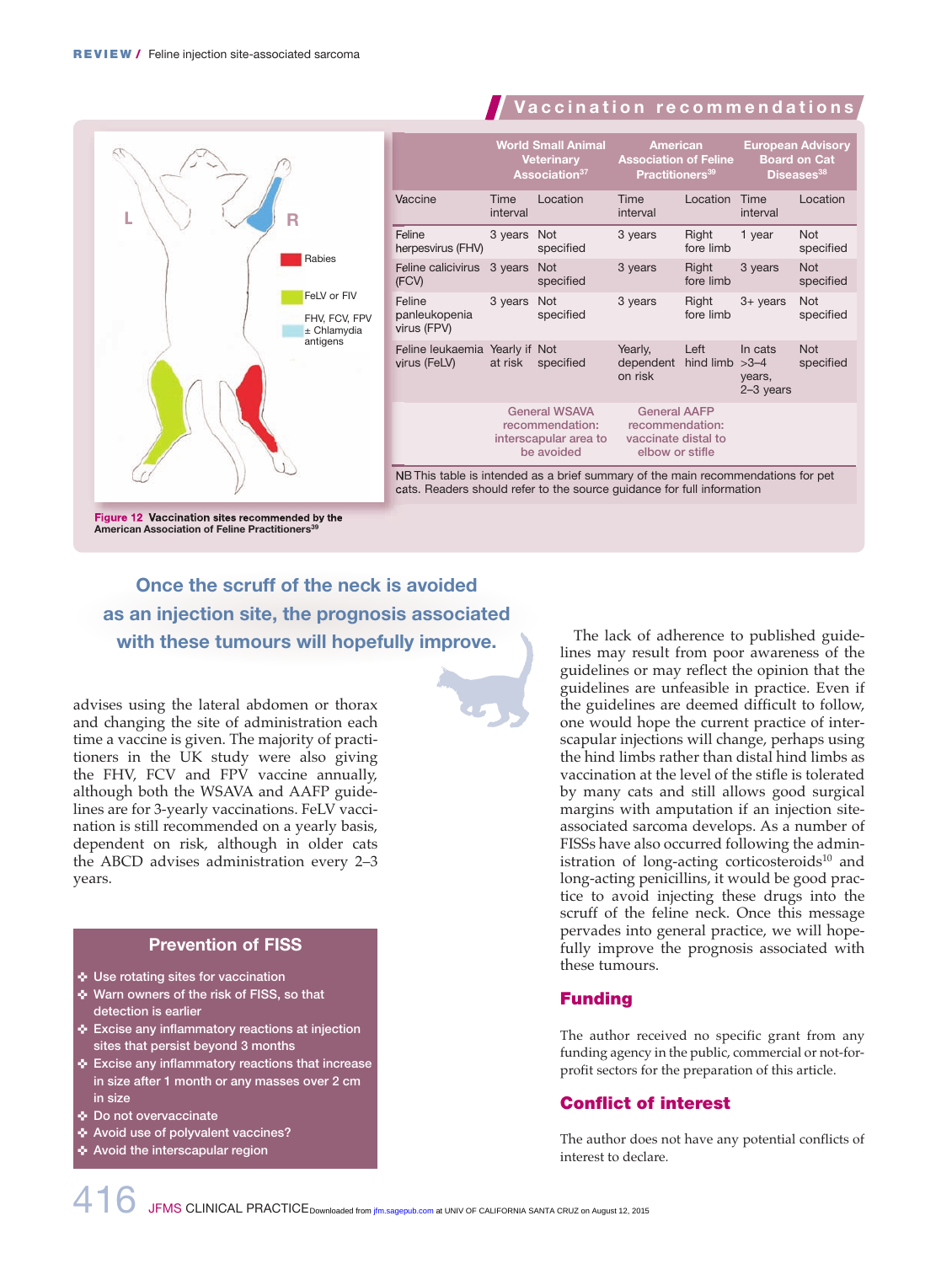

**Figure 12 Vaccination sites recommended by the American Association of Feline Practitioners** 

**Once the scruff of the neck is avoided as an injection site, the prognosis associated with these tumours will hopefully improve.**

advises using the lateral abdomen or thorax and changing the site of administration each time a vaccine is given. The majority of practitioners in the UK study were also giving the FHV, FCV and FPV vaccine annually, although both the WSAVA and AAFP guidelines are for 3-yearly vaccinations. FeLV vaccination is still recommended on a yearly basis, dependent on risk, although in older cats the ABCD advises administration every 2–3 years.

# **Prevention of FISS**

- < **Use rotating sites for vaccination**
- < **Warn owners of the risk of FISS, so that detection is earlier**
- < **Excise any inflammatory reactions at injection sites that persist beyond 3 months**
- < **Excise any inflammatory reactions that increase in size after 1 month or any masses over 2 cm in size**
- < **Do not overvaccinate**
- **Avoid use of polyvalent vaccines?**
- < **Avoid the interscapular region**

The lack of adherence to published guidelines may result from poor awareness of the guidelines or may reflect the opinion that the guidelines are unfeasible in practice. Even if the guidelines are deemed difficult to follow, one would hope the current practice of interscapular injections will change, perhaps using the hind limbs rather than distal hind limbs as vaccination at the level of the stifle is tolerated by many cats and still allows good surgical margins with amputation if an injection siteassociated sarcoma develops. As a number of FISSs have also occurred following the administration of long-acting corticosteroids<sup>10</sup> and long-acting penicillins, it would be good practice to avoid injecting these drugs into the scruff of the feline neck. Once this message pervades into general practice, we will hopefully improve the prognosis associated with these tumours.

**V a c c i n a t i o n r e c o m m e n d a t i o n s**

### **Funding**

The author received no specific grant from any funding agency in the public, commercial or not-forprofit sectors for the preparation of this article.

### **Conflict of interest**

The author does not have any potential conflicts of interest to declare.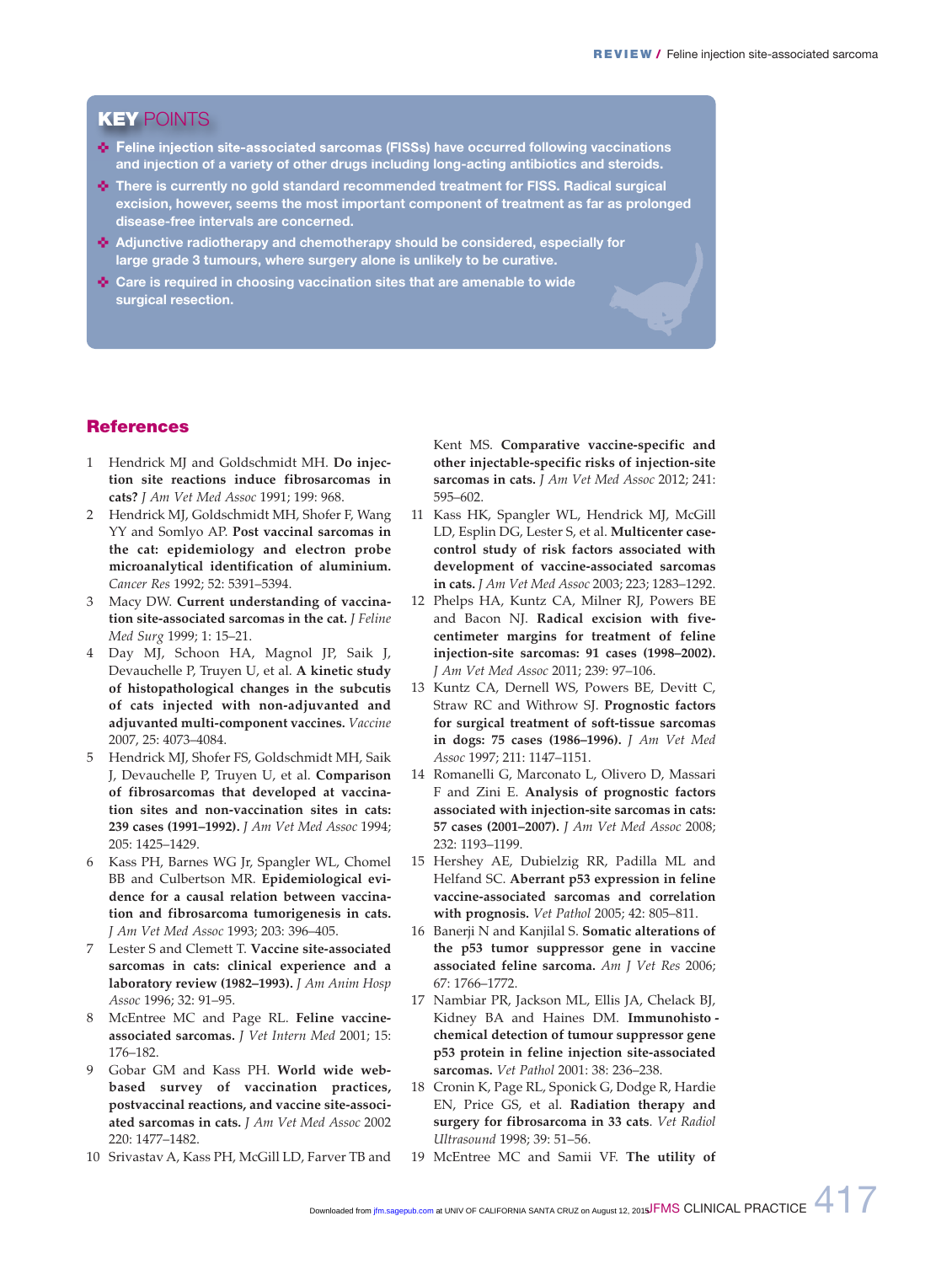# **KEY** POINTS

- **Feline injection site-associated sarcomas (FISSs) have occurred following vaccinations and injection of a variety of other drugs including long-acting antibiotics and steroids.**
- **<sup>4</sup> There is currently no gold standard recommended treatment for FISS. Radical surgical excision, however, seems the most important component of treatment as far as prolonged disease-free intervals are concerned.**
- **Adjunctive radiotherapy and chemotherapy should be considered, especially for large grade 3 tumours, where surgery alone is unlikely to be curative.**
- **↑ Care is required in choosing vaccination sites that are amenable to wide surgical resection.**

### **References**

- 1 Hendrick MJ and Goldschmidt MH. **Do injection site reactions induce fibrosarcomas in cats?** *J Am Vet Med Assoc* 1991; 199: 968.
- 2 Hendrick MJ, Goldschmidt MH, Shofer F, Wang YY and Somlyo AP. **Post vaccinal sarcomas in the cat: epidemiology and electron probe microanalytical identification of aluminium.** *Cancer Res* 1992; 52: 5391–5394.
- 3 Macy DW. **Current understanding of vaccination site-associated sarcomas in the cat.** *J Feline Med Surg* 1999; 1: 15–21.
- Day MJ, Schoon HA, Magnol JP, Saik J, Devauchelle P, Truyen U, et al. **A kinetic study of histopathological changes in the subcutis of cats injected with non-adjuvanted and adjuvanted multi-component vaccines.** *Vaccine* 2007, 25: 4073–4084.
- 5 Hendrick MJ, Shofer FS, Goldschmidt MH, Saik J, Devauchelle P, Truyen U, et al. **Comparison of fibrosarcomas that developed at vaccination sites and non-vaccination sites in cats: 239 cases (1991–1992).** *J Am Vet Med Assoc* 1994; 205: 1425–1429.
- Kass PH, Barnes WG Jr, Spangler WL, Chomel BB and Culbertson MR. **Epidemiological evidence for a causal relation between vaccination and fibrosarcoma tumorigenesis in cats.**  *J Am Vet Med Assoc* 1993; 203: 396–405.
- 7 Lester S and Clemett T. **Vaccine site-associated sarcomas in cats: clinical experience and a laboratory review (1982–1993).** *J Am Anim Hosp Assoc* 1996; 32: 91–95.
- 8 McEntree MC and Page RL. **Feline vaccineassociated sarcomas.** *J Vet Intern Med* 2001; 15: 176–182.
- 9 Gobar GM and Kass PH. **World wide webbased survey of vaccination practices, postvaccinal reactions, and vaccine site-associated sarcomas in cats.** *J Am Vet Med Assoc* 2002 220: 1477–1482.
- 10 Srivastav A, Kass PH, McGill LD, Farver TB and

Kent MS. **Comparative vaccine-specific and other injectable-specific risks of injection-site sarcomas in cats.** *J Am Vet Med Assoc* 2012; 241: 595–602.

- 11 Kass HK, Spangler WL, Hendrick MJ, McGill LD, Esplin DG, Lester S, et al. **Multicenter casecontrol study of risk factors associated with development of vaccine-associated sarcomas in cats.** *J Am Vet Med Assoc* 2003; 223; 1283–1292.
- 12 Phelps HA, Kuntz CA, Milner RJ, Powers BE and Bacon NJ. **Radical excision with fivecentimeter margins for treatment of feline injection-site sarcomas: 91 cases (1998–2002).** *J Am Vet Med Assoc* 2011; 239: 97–106.
- 13 Kuntz CA, Dernell WS, Powers BE, Devitt C, Straw RC and Withrow SJ. **Prognostic factors for surgical treatment of soft-tissue sarcomas in dogs: 75 cases (1986–1996).** *J Am Vet Med Assoc* 1997; 211: 1147–1151.
- 14 Romanelli G, Marconato L, Olivero D, Massari F and Zini E. **Analysis of prognostic factors associated with injection-site sarcomas in cats: 57 cases (2001–2007).** *J Am Vet Med Assoc* 2008; 232: 1193–1199.
- 15 Hershey AE, Dubielzig RR, Padilla ML and Helfand SC. **Aberrant p53 expression in feline vaccine-associated sarcomas and correlation with prognosis.** *Vet Pathol* 2005; 42: 805–811.
- 16 Banerji N and Kanjilal S. **Somatic alterations of the p53 tumor suppressor gene in vaccine associated feline sarcoma.** *Am J Vet Res* 2006; 67: 1766–1772.
- 17 Nambiar PR, Jackson ML, Ellis JA, Chelack BJ, Kidney BA and Haines DM. **Immunohisto chemical detection of tumour suppressor gene p53 protein in feline injection site-associated sarcomas.** *Vet Pathol* 2001: 38: 236–238.
- 18 Cronin K, Page RL, Sponick G, Dodge R, Hardie EN, Price GS, et al. **Radiation therapy and surgery for fibrosarcoma in 33 cats**. *Vet Radiol Ultrasound* 1998; 39: 51–56.
- 19 McEntree MC and Samii VF. **The utility of**